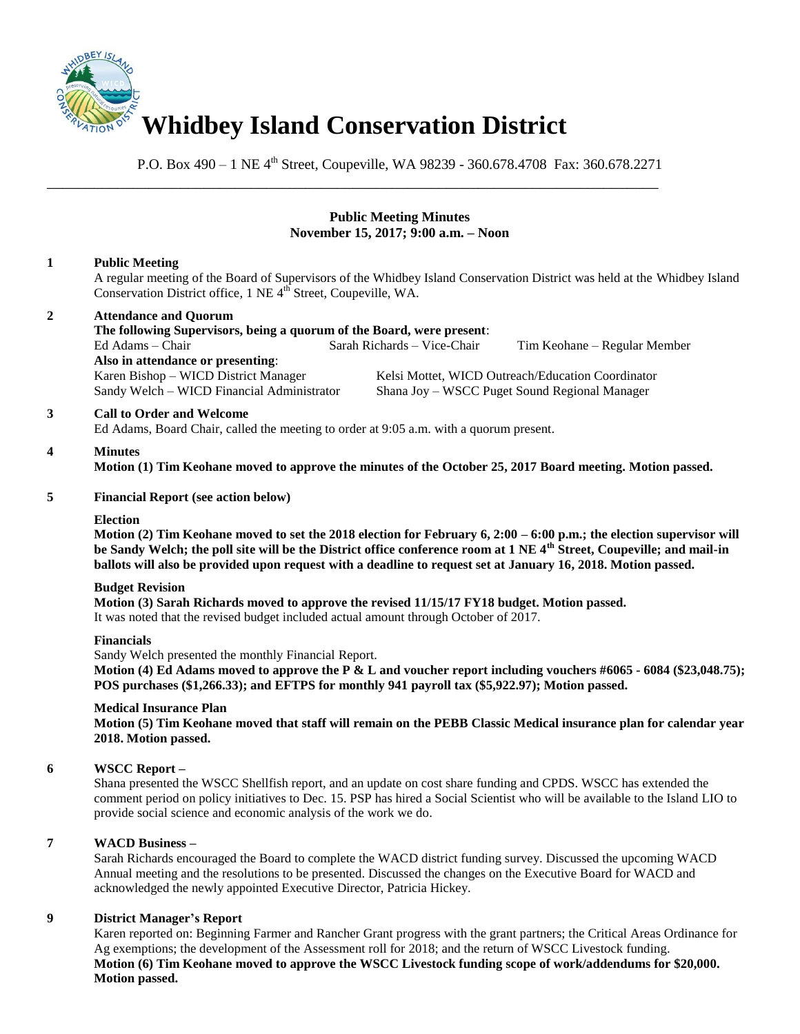

P.O. Box 490 – 1 NE 4th Street, Coupeville, WA 98239 - 360.678.4708 Fax: 360.678.2271

\_\_\_\_\_\_\_\_\_\_\_\_\_\_\_\_\_\_\_\_\_\_\_\_\_\_\_\_\_\_\_\_\_\_\_\_\_\_\_\_\_\_\_\_\_\_\_\_\_\_\_\_\_\_\_\_\_\_\_\_\_\_\_\_\_\_\_\_\_\_\_\_\_\_\_\_\_\_

#### **Public Meeting Minutes November 15, 2017; 9:00 a.m. – Noon**

### **1 Public Meeting**

A regular meeting of the Board of Supervisors of the Whidbey Island Conservation District was held at the Whidbey Island Conservation District office, 1 NE 4<sup>th</sup> Street, Coupeville, WA.

## **2 Attendance and Quorum**

**The following Supervisors, being a quorum of the Board, were present**: Ed Adams – Chair Sarah Richards – Vice-Chair Tim Keohane – Regular Member **Also in attendance or presenting**:

Karen Bishop – WICD District Manager Kelsi Mottet, WICD Outreach/Education Coordinator Sandy Welch – WICD Financial Administrator Shana Joy – WSCC Puget Sound Regional Manager

#### **3 Call to Order and Welcome**

Ed Adams, Board Chair, called the meeting to order at 9:05 a.m. with a quorum present.

# **4 Minutes**

**Motion (1) Tim Keohane moved to approve the minutes of the October 25, 2017 Board meeting. Motion passed.** 

#### **5 Financial Report (see action below)**

#### **Election**

**Motion (2) Tim Keohane moved to set the 2018 election for February 6, 2:00 – 6:00 p.m.; the election supervisor will be Sandy Welch; the poll site will be the District office conference room at 1 NE 4th Street, Coupeville; and mail-in ballots will also be provided upon request with a deadline to request set at January 16, 2018. Motion passed.**

#### **Budget Revision**

**Motion (3) Sarah Richards moved to approve the revised 11/15/17 FY18 budget. Motion passed.** It was noted that the revised budget included actual amount through October of 2017.

#### **Financials**

Sandy Welch presented the monthly Financial Report. **Motion (4) Ed Adams moved to approve the P & L and voucher report including vouchers #6065 - 6084 (\$23,048.75); POS purchases (\$1,266.33); and EFTPS for monthly 941 payroll tax (\$5,922.97); Motion passed.** 

#### **Medical Insurance Plan**

**Motion (5) Tim Keohane moved that staff will remain on the PEBB Classic Medical insurance plan for calendar year 2018. Motion passed.**

#### **6 WSCC Report –**

Shana presented the WSCC Shellfish report, and an update on cost share funding and CPDS. WSCC has extended the comment period on policy initiatives to Dec. 15. PSP has hired a Social Scientist who will be available to the Island LIO to provide social science and economic analysis of the work we do.

#### **7 WACD Business –**

Sarah Richards encouraged the Board to complete the WACD district funding survey. Discussed the upcoming WACD Annual meeting and the resolutions to be presented. Discussed the changes on the Executive Board for WACD and acknowledged the newly appointed Executive Director, Patricia Hickey.

#### **9 District Manager's Report**

Karen reported on: Beginning Farmer and Rancher Grant progress with the grant partners; the Critical Areas Ordinance for Ag exemptions; the development of the Assessment roll for 2018; and the return of WSCC Livestock funding. **Motion (6) Tim Keohane moved to approve the WSCC Livestock funding scope of work/addendums for \$20,000. Motion passed.**